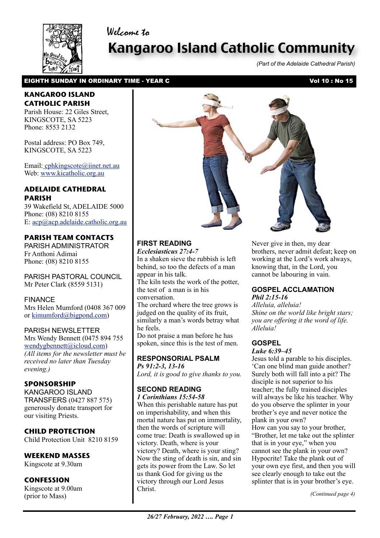## Welcome to



# Kangaroo Island Catholic Community

*(Part of the Adelaide Cathedral Parish)*

#### EIGHTH SUNDAY IN ORDINARY TIME - YEAR C Vol 10 : No 15

### **KANGAROO ISLAND CATHOLIC PARISH**

Parish House: 22 Giles Street, KINGSCOTE, SA 5223 Phone: 8553 2132

Postal address: PO Box 749, KINGSCOTE, SA 5223

Email[: cphkingscote@iinet.net.au](mailto:cphkingscote@iinet.net.au) Web: [www.kicatholic.org.au](http://www.kicatholic.org.au)

## **ADELAIDE CATHEDRAL PARISH**

39 Wakefield St, ADELAIDE 5000 Phone: (08) 8210 8155 E: [acp@acp.adelaide.catholic.org.au](mailto:?subject=)

## **PARISH TEAM CONTACTS**

PARISH ADMINISTRATOR Fr Anthoni Adimai Phone: (08) 8210 8155

PARISH PASTORAL COUNCIL Mr Peter Clark (8559 5131)

FINANCE Mrs Helen Mumford (0408 367 009 or [kimumford@bigpond.com\)](mailto:kimumford@bigpond.com)

#### PARISH NEWSLETTER

Mrs Wendy Bennett (0475 894 755 [wendygbennett@icloud.com\)](mailto:wendygbennett@icloud.com) *(All items for the newsletter must be received no later than Tuesday evening.)*

#### **SPONSORSHIP**

KANGAROO ISLAND TRANSFERS (0427 887 575) generously donate transport for our visiting Priests.

#### **CHILD PROTECTION**

Child Protection Unit 8210 8159

#### **WEEKEND MASSES**

Kingscote at 9.30am

#### **CONFESSION**

Kingscote at 9.00am (prior to Mass)



## **FIRST READING**

*Ecclesiasticus 27:4-7* In a shaken sieve the rubbish is left behind, so too the defects of a man appear in his talk. The kiln tests the work of the potter, the test of a man is in his

conversation.

The orchard where the tree grows is judged on the quality of its fruit, similarly a man's words betray what he feels.

Do not praise a man before he has spoken, since this is the test of men.

**RESPONSORIAL PSALM** *Ps 91:2-3, 13-16*

*Lord, it is good to give thanks to you.*

#### **SECOND READING** *1 Corinthians 15:54-58*

When this perishable nature has put on imperishability, and when this mortal nature has put on immortality, then the words of scripture will come true: Death is swallowed up in victory. Death, where is your victory? Death, where is your sting? Now the sting of death is sin, and sin gets its power from the Law. So let us thank God for giving us the victory through our Lord Jesus Christ.

Never give in then, my dear brothers, never admit defeat; keep on working at the Lord's work always, knowing that, in the Lord, you cannot be labouring in vain.

#### **GOSPEL ACCLAMATION** *Phil 2:15-16*

*Alleluia, alleluia! Shine on the world like bright stars; you are offering it the word of life. Alleluia!*

## **GOSPEL**

*Luke 6:39–45* 

Jesus told a parable to his disciples. 'Can one blind man guide another? Surely both will fall into a pit? The disciple is not superior to his teacher; the fully trained disciples will always be like his teacher. Why do you observe the splinter in your brother's eye and never notice the plank in your own?

How can you say to your brother, "Brother, let me take out the splinter that is in your eye," when you cannot see the plank in your own? Hypocrite! Take the plank out of your own eye first, and then you will see clearly enough to take out the splinter that is in your brother's eye.

*(Continued page 4)*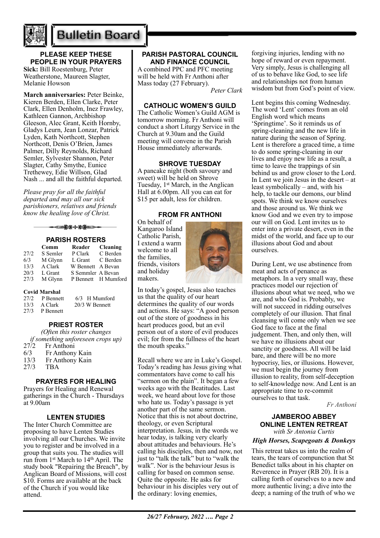

# **Bulletin Board**

**PLEASE KEEP THESE PEOPLE IN YOUR PRAYERS Sick:** Bill Roestenburg, Peter Weatherstone, Maureen Slagter, Melanie Howson

**March anniversaries:** Peter Beinke, Kieren Berden, Ellen Clarke, Peter Clark, Ellen Denholm, Inez Frawley, Kathleen Gannon, Archbishop Gleeson, Alec Grant, Keith Hornby, Gladys Leurn, Jean Lonzar, Patrick Lyden, Kath Northcott, Stephen Northcott, Denis O'Brien, James Palmer, Dilly Reynolds, Richard Semler, Sylvester Shannon, Peter Slagter, Cathy Smythe, Eunice Trethewey, Edie Willson, Glad Nash ... and all the faithful departed.

*Please pray for all the faithful departed and may all our sick parishioners, relatives and friends know the healing love of Christ.*

#### ╺⋐▛⋠⊹⋡⋚⋿⋗ **PARISH ROSTERS**

| FANJI NUJI LIV |          |                   |                     |
|----------------|----------|-------------------|---------------------|
|                | Comm     | Reader            | <b>Cleaning</b>     |
| 27/2           | S Semler | P Clark           | C Berden            |
| 6/3            | M Glynn  | L Grant           | C Berden            |
| 13/3           | A Clark  | W Bennett A Bevan |                     |
| 20/3           | L Grant  | S Semmler A Bevan |                     |
| 27/3           | M Glynn  |                   | P Bennett H Mumford |
|                |          |                   |                     |

#### **Covid Marshal**

| 27/2 | P Bennett | $6/3$ H Mumford |
|------|-----------|-----------------|
| 13/3 | A Clark   | 20/3 W Bennett  |
| 27/3 | P Bennett |                 |

#### **PRIEST ROSTER**

*(Often this roster changes if something unforeseen crops up)* 27/2 Fr Anthoni 6/3 Fr Anthony Kain<br>13/3 Fr Anthony Kain Fr Anthony Kain 27/3 TBA

#### **PRAYERS FOR HEALING**

Prayers for Healing and Renewal gatherings in the Church - Thursdays at 9.00am

#### **LENTEN STUDIES**

The Inter Church Committee are proposing to have Lenten Studies involving all our Churches. We invite you to register and be involved in a group that suits you. The studies will run from 1st March to 14th April. The study book "Repairing the Breach", by Anglican Board of Missions, will cost \$10. Forms are available at the back of the Church if you would like attend.

#### **PARISH PASTORAL COUNCIL AND FINANCE COUNCIL**

A combined PPC and PFC meeting will be held with Fr Anthoni after Mass today (27 February).

*Peter Clark*

#### **CATHOLIC WOMEN'S GUILD**

The Catholic Women's Guild AGM is tomorrow morning. Fr Anthoni will conduct a short Liturgy Service in the Church at 9.30am and the Guild meeting will convene in the Parish House immediately afterwards.

#### **SHROVE TUESDAY**

A pancake night (both savoury and sweet) will be held on Shrove Tuesday, 1<sup>st</sup> March, in the Anglican Hall at 6.00pm. All you can eat for \$15 per adult, less for children.

#### **FROM FR ANTHONI**

On behalf of Kangaroo Island Catholic Parish, I extend a warm welcome to all the families, friends, visitors and holiday makers.



In today's gospel, Jesus also teaches us that the quality of our heart determines the quality of our words and actions. He says: "A good person out of the store of goodness in his heart produces good, but an evil person out of a store of evil produces evil; for from the fullness of the heart the mouth speaks."

Recall where we are in Luke's Gospel. Today's reading has Jesus giving what commentators have come to call his "sermon on the plain". It began a few weeks ago with the Beatitudes. Last week, we heard about love for those who hate us. Today's passage is yet another part of the same sermon. Notice that this is not about doctrine, theology, or even Scriptural interpretation. Jesus, in the words we hear today, is talking very clearly about attitudes and behaviours. He's calling his disciples, then and now, not just to "talk the talk" but to "walk the walk". Nor is the behaviour Jesus is calling for based on common sense. Quite the opposite. He asks for behaviour in his disciples very out of the ordinary: loving enemies,

forgiving injuries, lending with no hope of reward or even repayment. Very simply, Jesus is challenging all of us to behave like God, to see life and relationships not from human wisdom but from God's point of view.

Lent begins this coming Wednesday. The word 'Lent' comes from an old English word which means 'Springtime'. So it reminds us of spring-cleaning and the new life in nature during the season of Spring. Lent is therefore a graced time, a time to do some spring-cleaning in our lives and enjoy new life as a result, a time to leave the trappings of sin behind us and grow closer to the Lord. In Lent we join Jesus in the desert – at least symbolically – and, with his help, to tackle our demons, our blind spots. We think we know ourselves and those around us. We think we know God and we even try to impose our will on God. Lent invites us to enter into a private desert, even in the midst of the world, and face up to our illusions about God and about ourselves.

During Lent, we use abstinence from meat and acts of penance as metaphors. In a very small way, these practices model our rejection of illusions about what we need, who we are, and who God is. Probably, we will not succeed in ridding ourselves completely of our illusion. That final cleansing will come only when we see God face to face at the final judgement. Then, and only then, will we have no illusions about our sanctity or goodness. All will be laid bare, and there will be no more hypocrisy, lies, or illusions. However, we must begin the journey from illusion to reality, from self-deception to self-knowledge now. And Lent is an appropriate time to re-commit ourselves to that task.

*Fr Anthoni*

#### **JAMBEROO ABBEY ONLINE LENTEN RETREAT** *with Sr Antonia Curtis*

#### *High Horses, Scapegoats & Donkeys*

This retreat takes us into the realm of tears, the tears of compunction that St Benedict talks about in his chapter on Reverence in Prayer (RB 20). It is a calling forth of ourselves to a new and more authentic living; a dive into the deep; a naming of the truth of who we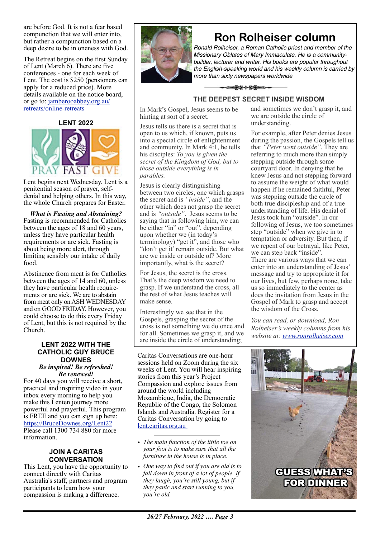are before God. It is not a fear based compunction that we will enter into, but rather a compunction based on a deep desire to be in oneness with God.

The Retreat begins on the first Sunday of Lent (March 6). There are five conferences - one for each week of Lent. The cost is \$250 (pensioners can apply for a reduced price). More details available on the notice board, or go to: [jamberooabbey.org.au/](http://www.google.com.au/) [retreats/online-retreats](http://www.google.com.au/)





Lent begins next Wednesday. Lent is a penitential season of prayer, selfdenial and helping others. In this way, the whole Church prepares for Easter.

*What is Fasting and Abstaining?* Fasting is recommended for Catholics between the ages of 18 and 60 years, unless they have particular health requirements or are sick. Fasting is about being more alert, through limiting sensibly our intake of daily food.

Abstinence from meat is for Catholics between the ages of 14 and 60, unless they have particular health requirements or are sick. We are to abstain from meat only on ASH WEDNESDAY and on GOOD FRIDAY. However, you could choose to do this every Friday of Lent, but this is not required by the Church.

## **LENT 2022 WITH THE CATHOLIC GUY BRUCE DOWNES**

#### *Be inspired! Be refreshed! Be renewed!*

For 40 days you will receive a short, practical and inspiring video in your inbox every morning to help you make this Lenten journey more powerful and prayerful. This program is FREE and you can sign up here: <https://BruceDownes.org/Lent22> Please call 1300 734 880 for more information.

#### **JOIN A CARITAS CONVERSATION**

This Lent, you have the opportunity to connect directly with Caritas Australia's staff, partners and program participants to learn how your compassion is making a difference.



## **Ron Rolheiser column**

*Ronald Rolheiser, a Roman Catholic priest and member of the Missionary Oblates of Mary Immaculate. He is a communitybuilder, lecturer and writer. His books are popular throughout the English-speaking world and his weekly column is carried by more than sixty newspapers worldwide*

#### ▅<del>▓</del>⊹¥<del>▓</del>═∽

#### **THE DEEPEST SECRET INSIDE WISDOM**

In Mark's Gospel, Jesus seems to be hinting at sort of a secret.

Jesus tells us there is a secret that is open to us which, if known, puts us into a special circle of enlightenment and community. In Mark 4:1, he tells his disciples: *To you is given the secret of the Kingdom of God, but to those outside everything is in parables.*

Jesus is clearly distinguishing between two circles, one which grasps the secret and is *"inside"*, and the other which does not grasp the secret and is *"outside"*. Jesus seems to be saying that in following him, we can be either "in" or "out", depending upon whether we (in today's terminology) "get it", and those who "don't get it' remain outside. But what are we inside or outside of? More importantly, what is the secret?

For Jesus, the secret is the cross. That's the deep wisdom we need to grasp. If we understand the cross, all the rest of what Jesus teaches will make sense.

Interestingly we see that in the Gospels, grasping the secret of the cross is not something we do once and for all. Sometimes we grasp it, and we are inside the circle of understanding;

Caritas Conversations are one-hour sessions held on Zoom during the six weeks of Lent. You will hear inspiring stories from this year's Project Compassion and explore issues from around the world including Mozambique, India, the Democratic Republic of the Congo, the Solomon Islands and Australia. Register for a Caritas Conversation by going to [lent.caritas.org.au](http://www.google.com.au/) 

- *• The main function of the little toe on your foot is to make sure that all the furniture in the house is in place.*
- *• One way to find out if you are old is to fall down in front of a lot of people. If they laugh, you're still young, but if they panic and start running to you, you're old.*

and sometimes we don't grasp it, and we are outside the circle of understanding.

For example, after Peter denies Jesus during the passion, the Gospels tell us that *"Peter went outside"*. They are referring to much more than simply stepping outside through some courtyard door. In denying that he knew Jesus and not stepping forward to assume the weight of what would happen if he remained faithful, Peter was stepping outside the circle of both true discipleship and of a true understanding of life. His denial of Jesus took him "outside". In our following of Jesus, we too sometimes step "outside" when we give in to temptation or adversity. But then, if we repent of our betrayal, like Peter, we can step back "inside". There are various ways that we can enter into an understanding of Jesus' message and try to appropriate it for our lives, but few, perhaps none, take us so immediately to the center as does the invitation from Jesus in the Gospel of Mark to grasp and accept the wisdom of the Cross.

*You can read, or download, Ron Rolheiser's weekly columns from his website at: www.ronrolheiser.com*